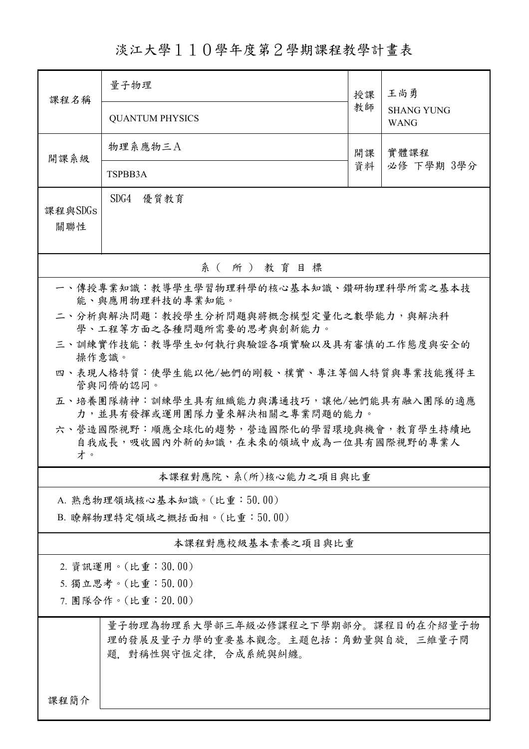## 淡江大學110學年度第2學期課程教學計畫表

| 課程名稱                                                                                              | 量子物理                        | 授課         | 王尚勇                              |  |  |  |  |  |  |
|---------------------------------------------------------------------------------------------------|-----------------------------|------------|----------------------------------|--|--|--|--|--|--|
|                                                                                                   | <b>QUANTUM PHYSICS</b>      | 教師         | <b>SHANG YUNG</b><br><b>WANG</b> |  |  |  |  |  |  |
| 開課系級                                                                                              | 物理系應物三A                     | 實體課程<br>開課 |                                  |  |  |  |  |  |  |
|                                                                                                   | TSPBB3A                     | 資料         | 必修 下學期 3學分                       |  |  |  |  |  |  |
| 課程與SDGs<br>關聯性                                                                                    | SDG4 優質教育                   |            |                                  |  |  |  |  |  |  |
| 系(所)教育目標                                                                                          |                             |            |                                  |  |  |  |  |  |  |
| 一、傳授專業知識:教導學生學習物理科學的核心基本知識、鑽研物理科學所需之基本技<br>能、與應用物理科技的專業知能。                                        |                             |            |                                  |  |  |  |  |  |  |
| 二、分析與解決問題:教授學生分析問題與將概念模型定量化之數學能力,與解決科<br>學、工程等方面之各種問題所需要的思考與創新能力。                                 |                             |            |                                  |  |  |  |  |  |  |
| 三、訓練實作技能:教導學生如何執行與驗證各項實驗以及具有審慎的工作態度與安全的<br>操作意識。                                                  |                             |            |                                  |  |  |  |  |  |  |
| 四、表現人格特質:使學生能以他/她們的剛毅、樸實、專注等個人特質與專業技能獲得主<br>管與同儕的認同。                                              |                             |            |                                  |  |  |  |  |  |  |
| 五、培養團隊精神:訓練學生具有組織能力與溝通技巧,讓他/她們能具有融入團隊的適應<br>力,並具有發揮或運用團隊力量來解決相關之專業問題的能力。                          |                             |            |                                  |  |  |  |  |  |  |
| 六、營造國際視野:順應全球化的趨勢,營造國際化的學習環境與機會,教育學生持續地<br>自我成長,吸收國內外新的知識,在未來的領域中成為一位具有國際視野的專業人<br>才。             |                             |            |                                  |  |  |  |  |  |  |
|                                                                                                   | 本課程對應院、系(所)核心能力之項目與比重       |            |                                  |  |  |  |  |  |  |
|                                                                                                   | A. 熟悉物理領域核心基本知識。(比重:50.00)  |            |                                  |  |  |  |  |  |  |
|                                                                                                   | B. 瞭解物理特定領域之概括面相。(比重:50.00) |            |                                  |  |  |  |  |  |  |
|                                                                                                   | 本課程對應校級基本素養之項目與比重           |            |                                  |  |  |  |  |  |  |
| 2. 資訊運用。(比重:30.00)                                                                                |                             |            |                                  |  |  |  |  |  |  |
| 5. 獨立思考。(比重:50.00)<br>7. 團隊合作。(比重:20.00)                                                          |                             |            |                                  |  |  |  |  |  |  |
| 量子物理為物理系大學部三年級必修課程之下學期部分。課程目的在介紹量子物<br>理的發展及量子力學的重要基本觀念。主題包括:角動量與自旋, 三維量子問<br>題,對稱性與守恆定律,合成系統與糾纏。 |                             |            |                                  |  |  |  |  |  |  |
| 課程簡介                                                                                              |                             |            |                                  |  |  |  |  |  |  |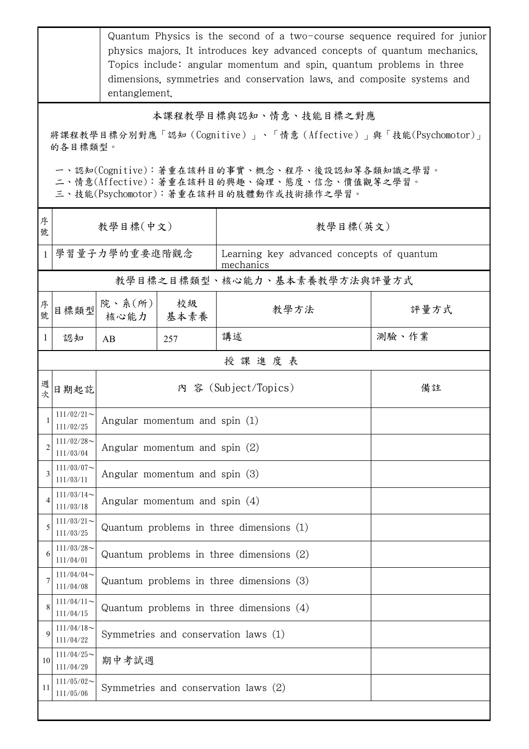|                                                                                                                                                                                                                                              | Quantum Physics is the second of a two-course sequence required for junior<br>physics majors. It introduces key advanced concepts of quantum mechanics.<br>Topics include: angular momentum and spin, quantum problems in three<br>dimensions, symmetries and conservation laws, and composite systems and<br>entanglement. |                                            |            |                                                        |       |  |  |
|----------------------------------------------------------------------------------------------------------------------------------------------------------------------------------------------------------------------------------------------|-----------------------------------------------------------------------------------------------------------------------------------------------------------------------------------------------------------------------------------------------------------------------------------------------------------------------------|--------------------------------------------|------------|--------------------------------------------------------|-------|--|--|
| 本課程教學目標與認知、情意、技能目標之對應<br>將課程教學目標分別對應「認知 (Cognitive)」、「情意 (Affective)」與「技能(Psychomotor)」<br>的各目標類型。<br>一、認知(Cognitive):著重在該科目的事實、概念、程序、後設認知等各類知識之學習。<br>二、情意(Affective):著重在該科目的興趣、倫理、態度、信念、價值觀等之學習。<br>三、技能(Psychomotor):著重在該科目的肢體動作或技術操作之學習。 |                                                                                                                                                                                                                                                                                                                             |                                            |            |                                                        |       |  |  |
| 序<br>號                                                                                                                                                                                                                                       | 教學目標(中文)                                                                                                                                                                                                                                                                                                                    |                                            |            | 教學目標(英文)                                               |       |  |  |
| $\mathbf{1}$                                                                                                                                                                                                                                 |                                                                                                                                                                                                                                                                                                                             | 學習量子力學的重要進階觀念                              |            | Learning key advanced concepts of quantum<br>mechanics |       |  |  |
|                                                                                                                                                                                                                                              |                                                                                                                                                                                                                                                                                                                             |                                            |            | 教學目標之目標類型、核心能力、基本素養教學方法與評量方式                           |       |  |  |
| 序<br>號                                                                                                                                                                                                                                       | 目標類型                                                                                                                                                                                                                                                                                                                        | 院、系 $(\kappa)$<br>核心能力                     | 校級<br>基本素養 | 教學方法                                                   | 評量方式  |  |  |
| 1                                                                                                                                                                                                                                            | 認知                                                                                                                                                                                                                                                                                                                          | AB                                         | 257        | 講述                                                     | 測驗、作業 |  |  |
|                                                                                                                                                                                                                                              |                                                                                                                                                                                                                                                                                                                             |                                            |            | 授課進度表                                                  |       |  |  |
| 週<br>坎                                                                                                                                                                                                                                       | 日期起訖                                                                                                                                                                                                                                                                                                                        | 內 容 (Subject/Topics)                       |            |                                                        | 備註    |  |  |
|                                                                                                                                                                                                                                              | $111/02/21$ ~<br>111/02/25                                                                                                                                                                                                                                                                                                  | Angular momentum and spin (1)              |            |                                                        |       |  |  |
| $\overline{2}$                                                                                                                                                                                                                               | $111/02/28$ ~<br>111/03/04                                                                                                                                                                                                                                                                                                  | Angular momentum and spin $(2)$            |            |                                                        |       |  |  |
| 3                                                                                                                                                                                                                                            | $111/03/07$ ~<br>111/03/11                                                                                                                                                                                                                                                                                                  | Angular momentum and spin (3)              |            |                                                        |       |  |  |
| 4                                                                                                                                                                                                                                            | $111/03/14$ ~<br>111/03/18                                                                                                                                                                                                                                                                                                  | Angular momentum and spin $(4)$            |            |                                                        |       |  |  |
| 5                                                                                                                                                                                                                                            | $111/03/21$ ~<br>111/03/25                                                                                                                                                                                                                                                                                                  | Quantum problems in three dimensions $(1)$ |            |                                                        |       |  |  |
| 6                                                                                                                                                                                                                                            | $111/03/28$ ~<br>111/04/01                                                                                                                                                                                                                                                                                                  | Quantum problems in three dimensions $(2)$ |            |                                                        |       |  |  |
| 7                                                                                                                                                                                                                                            | $111/04/04$ ~<br>111/04/08                                                                                                                                                                                                                                                                                                  | Quantum problems in three dimensions $(3)$ |            |                                                        |       |  |  |
| 8                                                                                                                                                                                                                                            | $111/04/11$ ~<br>111/04/15                                                                                                                                                                                                                                                                                                  | Quantum problems in three dimensions $(4)$ |            |                                                        |       |  |  |
| 9                                                                                                                                                                                                                                            | $111/04/18$ ~<br>111/04/22                                                                                                                                                                                                                                                                                                  | Symmetries and conservation laws (1)       |            |                                                        |       |  |  |
| 10                                                                                                                                                                                                                                           | $111/04/25$ ~<br>111/04/29                                                                                                                                                                                                                                                                                                  | 期中考試週                                      |            |                                                        |       |  |  |
| 11                                                                                                                                                                                                                                           | $111/05/02$ ~<br>111/05/06                                                                                                                                                                                                                                                                                                  | Symmetries and conservation laws (2)       |            |                                                        |       |  |  |
|                                                                                                                                                                                                                                              |                                                                                                                                                                                                                                                                                                                             |                                            |            |                                                        |       |  |  |